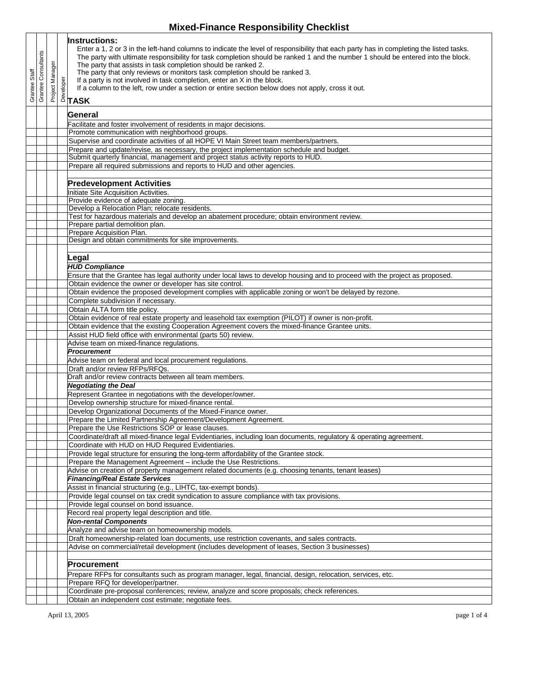## **Mixed-Finance Responsibility Checklist**

|               | Grantee Consultants |                 | <b>Instructions:</b><br>Enter a 1, 2 or 3 in the left-hand columns to indicate the level of responsibility that each party has in completing the listed tasks.<br>The party with ultimate responsibility for task completion should be ranked 1 and the number 1 should be entered into the block.<br>The party that assists in task completion should be ranked 2.<br>The party that only reviews or monitors task completion should be ranked 3.<br>If a party is not involved in task completion, enter an X in the block. |
|---------------|---------------------|-----------------|-------------------------------------------------------------------------------------------------------------------------------------------------------------------------------------------------------------------------------------------------------------------------------------------------------------------------------------------------------------------------------------------------------------------------------------------------------------------------------------------------------------------------------|
| Grantee Staff |                     | Project Manager | If a column to the left, row under a section or entire section below does not apply, cross it out.                                                                                                                                                                                                                                                                                                                                                                                                                            |
|               |                     |                 | General                                                                                                                                                                                                                                                                                                                                                                                                                                                                                                                       |
|               |                     |                 | Facilitate and foster involvement of residents in major decisions.                                                                                                                                                                                                                                                                                                                                                                                                                                                            |
|               |                     |                 | Promote communication with neighborhood groups.                                                                                                                                                                                                                                                                                                                                                                                                                                                                               |
|               |                     |                 | Supervise and coordinate activities of all HOPE VI Main Street team members/partners.                                                                                                                                                                                                                                                                                                                                                                                                                                         |
|               |                     |                 | Prepare and update/revise, as necessary, the project implementation schedule and budget.                                                                                                                                                                                                                                                                                                                                                                                                                                      |
|               |                     |                 | Submit quarterly financial, management and project status activity reports to HUD.                                                                                                                                                                                                                                                                                                                                                                                                                                            |
|               |                     |                 | Prepare all required submissions and reports to HUD and other agencies.                                                                                                                                                                                                                                                                                                                                                                                                                                                       |
|               |                     |                 | <b>Predevelopment Activities</b>                                                                                                                                                                                                                                                                                                                                                                                                                                                                                              |
|               |                     |                 | Initiate Site Acquisition Activities.                                                                                                                                                                                                                                                                                                                                                                                                                                                                                         |
|               |                     |                 | Provide evidence of adequate zoning.                                                                                                                                                                                                                                                                                                                                                                                                                                                                                          |
|               |                     |                 | Develop a Relocation Plan; relocate residents.                                                                                                                                                                                                                                                                                                                                                                                                                                                                                |
|               |                     |                 | Test for hazardous materials and develop an abatement procedure; obtain environment review.<br>Prepare partial demolition plan.                                                                                                                                                                                                                                                                                                                                                                                               |
|               |                     |                 | Prepare Acquisition Plan.                                                                                                                                                                                                                                                                                                                                                                                                                                                                                                     |
|               |                     |                 | Design and obtain commitments for site improvements.                                                                                                                                                                                                                                                                                                                                                                                                                                                                          |
|               |                     |                 |                                                                                                                                                                                                                                                                                                                                                                                                                                                                                                                               |
|               |                     |                 | Legal                                                                                                                                                                                                                                                                                                                                                                                                                                                                                                                         |
|               |                     |                 | <b>HUD Compliance</b>                                                                                                                                                                                                                                                                                                                                                                                                                                                                                                         |
|               |                     |                 | Ensure that the Grantee has legal authority under local laws to develop housing and to proceed with the project as proposed.                                                                                                                                                                                                                                                                                                                                                                                                  |
|               |                     |                 | Obtain evidence the owner or developer has site control.<br>Obtain evidence the proposed development complies with applicable zoning or won't be delayed by rezone.                                                                                                                                                                                                                                                                                                                                                           |
|               |                     |                 | Complete subdivision if necessary.                                                                                                                                                                                                                                                                                                                                                                                                                                                                                            |
|               |                     |                 | Obtain ALTA form title policy.                                                                                                                                                                                                                                                                                                                                                                                                                                                                                                |
|               |                     |                 | Obtain evidence of real estate property and leasehold tax exemption (PILOT) if owner is non-profit.                                                                                                                                                                                                                                                                                                                                                                                                                           |
|               |                     |                 | Obtain evidence that the existing Cooperation Agreement covers the mixed-finance Grantee units.                                                                                                                                                                                                                                                                                                                                                                                                                               |
|               |                     |                 | Assist HUD field office with environmental (parts 50) review.                                                                                                                                                                                                                                                                                                                                                                                                                                                                 |
|               |                     |                 | Advise team on mixed-finance regulations.                                                                                                                                                                                                                                                                                                                                                                                                                                                                                     |
|               |                     |                 | <b>Procurement</b>                                                                                                                                                                                                                                                                                                                                                                                                                                                                                                            |
|               |                     |                 | Advise team on federal and local procurement regulations.<br>Draft and/or review RFPs/RFQs.                                                                                                                                                                                                                                                                                                                                                                                                                                   |
|               |                     |                 | Draft and/or review contracts between all team members.                                                                                                                                                                                                                                                                                                                                                                                                                                                                       |
|               |                     |                 | <b>Negotiating the Deal</b>                                                                                                                                                                                                                                                                                                                                                                                                                                                                                                   |
|               |                     |                 | Represent Grantee in negotiations with the developer/owner.                                                                                                                                                                                                                                                                                                                                                                                                                                                                   |
|               |                     |                 | Develop ownership structure for mixed-finance rental.                                                                                                                                                                                                                                                                                                                                                                                                                                                                         |
|               |                     |                 | Develop Organizational Documents of the Mixed-Finance owner.                                                                                                                                                                                                                                                                                                                                                                                                                                                                  |
|               |                     |                 | Prepare the Limited Partnership Agreement/Development Agreement.<br>Prepare the Use Restrictions SOP or lease clauses.                                                                                                                                                                                                                                                                                                                                                                                                        |
|               |                     |                 | Coordinate/draft all mixed-finance legal Evidentiaries, including loan documents, regulatory & operating agreement.                                                                                                                                                                                                                                                                                                                                                                                                           |
|               |                     |                 | Coordinate with HUD on HUD Required Evidentiaries.                                                                                                                                                                                                                                                                                                                                                                                                                                                                            |
|               |                     |                 | Provide legal structure for ensuring the long-term affordability of the Grantee stock.                                                                                                                                                                                                                                                                                                                                                                                                                                        |
|               |                     |                 | Prepare the Management Agreement - include the Use Restrictions.                                                                                                                                                                                                                                                                                                                                                                                                                                                              |
|               |                     |                 | Advise on creation of property management related documents (e.g. choosing tenants, tenant leases)                                                                                                                                                                                                                                                                                                                                                                                                                            |
|               |                     |                 | <b>Financing/Real Estate Services</b>                                                                                                                                                                                                                                                                                                                                                                                                                                                                                         |
|               |                     |                 | Assist in financial structuring (e.g., LIHTC, tax-exempt bonds).<br>Provide legal counsel on tax credit syndication to assure compliance with tax provisions.                                                                                                                                                                                                                                                                                                                                                                 |
|               |                     |                 | Provide legal counsel on bond issuance.                                                                                                                                                                                                                                                                                                                                                                                                                                                                                       |
|               |                     |                 | Record real property legal description and title.                                                                                                                                                                                                                                                                                                                                                                                                                                                                             |
|               |                     |                 | <b>Non-rental Components</b>                                                                                                                                                                                                                                                                                                                                                                                                                                                                                                  |
|               |                     |                 | Analyze and advise team on homeownership models.                                                                                                                                                                                                                                                                                                                                                                                                                                                                              |
|               |                     |                 | Draft homeownership-related loan documents, use restriction covenants, and sales contracts.                                                                                                                                                                                                                                                                                                                                                                                                                                   |
|               |                     |                 | Advise on commercial/retail development (includes development of leases, Section 3 businesses)                                                                                                                                                                                                                                                                                                                                                                                                                                |
|               |                     |                 |                                                                                                                                                                                                                                                                                                                                                                                                                                                                                                                               |
|               |                     |                 | <b>Procurement</b>                                                                                                                                                                                                                                                                                                                                                                                                                                                                                                            |
|               |                     |                 | Prepare RFPs for consultants such as program manager, legal, financial, design, relocation, services, etc.<br>Prepare RFQ for developer/partner.                                                                                                                                                                                                                                                                                                                                                                              |
|               |                     |                 | Coordinate pre-proposal conferences; review, analyze and score proposals; check references.                                                                                                                                                                                                                                                                                                                                                                                                                                   |
|               |                     |                 | Obtain an independent cost estimate; negotiate fees.                                                                                                                                                                                                                                                                                                                                                                                                                                                                          |
|               |                     |                 |                                                                                                                                                                                                                                                                                                                                                                                                                                                                                                                               |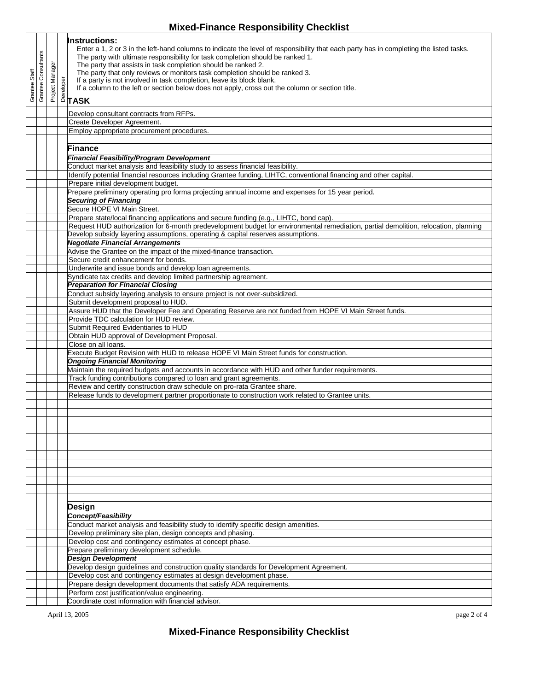## **Mixed-Finance Responsibility Checklist**

| Staff<br>Grantee | Grantee Consultants | Project Manager | <b>Instructions:</b><br>Enter a 1, 2 or 3 in the left-hand columns to indicate the level of responsibility that each party has in completing the listed tasks.<br>The party with ultimate responsibility for task completion should be ranked 1.<br>The party that assists in task completion should be ranked 2.<br>The party that only reviews or monitors task completion should be ranked 3.<br>$\begin{array}{c}\n\stackrel{\text{b}}{\triangle} \text{If } \mathsf{ap} \\ \stackrel{\text{d}}{\triangle} \text{If } \mathsf{a} \text{ of} \\ \stackrel{\text{c}}{\triangle} \text{TASK}\n\end{array}$<br>If a party is not involved in task completion, leave its block blank.<br>If a column to the left or section below does not apply, cross out the column or section title. |
|------------------|---------------------|-----------------|-----------------------------------------------------------------------------------------------------------------------------------------------------------------------------------------------------------------------------------------------------------------------------------------------------------------------------------------------------------------------------------------------------------------------------------------------------------------------------------------------------------------------------------------------------------------------------------------------------------------------------------------------------------------------------------------------------------------------------------------------------------------------------------------|
|                  |                     |                 |                                                                                                                                                                                                                                                                                                                                                                                                                                                                                                                                                                                                                                                                                                                                                                                         |
|                  |                     |                 | Develop consultant contracts from RFPs.<br>Create Developer Agreement.                                                                                                                                                                                                                                                                                                                                                                                                                                                                                                                                                                                                                                                                                                                  |
|                  |                     |                 | Employ appropriate procurement procedures.                                                                                                                                                                                                                                                                                                                                                                                                                                                                                                                                                                                                                                                                                                                                              |
|                  |                     |                 | Finance                                                                                                                                                                                                                                                                                                                                                                                                                                                                                                                                                                                                                                                                                                                                                                                 |
|                  |                     |                 | <b>Financial Feasibility/Program Development</b>                                                                                                                                                                                                                                                                                                                                                                                                                                                                                                                                                                                                                                                                                                                                        |
|                  |                     |                 | Conduct market analysis and feasibility study to assess financial feasibility.                                                                                                                                                                                                                                                                                                                                                                                                                                                                                                                                                                                                                                                                                                          |
|                  |                     |                 | Identify potential financial resources including Grantee funding, LIHTC, conventional financing and other capital.<br>Prepare initial development budget.                                                                                                                                                                                                                                                                                                                                                                                                                                                                                                                                                                                                                               |
|                  |                     |                 | Prepare preliminary operating pro forma projecting annual income and expenses for 15 year period.                                                                                                                                                                                                                                                                                                                                                                                                                                                                                                                                                                                                                                                                                       |
|                  |                     |                 | <b>Securing of Financing</b>                                                                                                                                                                                                                                                                                                                                                                                                                                                                                                                                                                                                                                                                                                                                                            |
|                  |                     |                 | Secure HOPE VI Main Street.<br>Prepare state/local financing applications and secure funding (e.g., LIHTC, bond cap).                                                                                                                                                                                                                                                                                                                                                                                                                                                                                                                                                                                                                                                                   |
|                  |                     |                 | Request HUD authorization for 6-month predevelopment budget for environmental remediation, partial demolition, relocation, planning                                                                                                                                                                                                                                                                                                                                                                                                                                                                                                                                                                                                                                                     |
|                  |                     |                 | Develop subsidy layering assumptions, operating & capital reserves assumptions.                                                                                                                                                                                                                                                                                                                                                                                                                                                                                                                                                                                                                                                                                                         |
|                  |                     |                 | <b>Negotiate Financial Arrangements</b><br>Advise the Grantee on the impact of the mixed-finance transaction.                                                                                                                                                                                                                                                                                                                                                                                                                                                                                                                                                                                                                                                                           |
|                  |                     |                 | Secure credit enhancement for bonds.                                                                                                                                                                                                                                                                                                                                                                                                                                                                                                                                                                                                                                                                                                                                                    |
|                  |                     |                 | Underwrite and issue bonds and develop loan agreements.                                                                                                                                                                                                                                                                                                                                                                                                                                                                                                                                                                                                                                                                                                                                 |
|                  |                     |                 | Syndicate tax credits and develop limited partnership agreement.<br><b>Preparation for Financial Closing</b>                                                                                                                                                                                                                                                                                                                                                                                                                                                                                                                                                                                                                                                                            |
|                  |                     |                 | Conduct subsidy layering analysis to ensure project is not over-subsidized.                                                                                                                                                                                                                                                                                                                                                                                                                                                                                                                                                                                                                                                                                                             |
|                  |                     |                 | Submit development proposal to HUD.                                                                                                                                                                                                                                                                                                                                                                                                                                                                                                                                                                                                                                                                                                                                                     |
|                  |                     |                 | Assure HUD that the Developer Fee and Operating Reserve are not funded from HOPE VI Main Street funds.<br>Provide TDC calculation for HUD review.                                                                                                                                                                                                                                                                                                                                                                                                                                                                                                                                                                                                                                       |
|                  |                     |                 | Submit Required Evidentiaries to HUD                                                                                                                                                                                                                                                                                                                                                                                                                                                                                                                                                                                                                                                                                                                                                    |
|                  |                     |                 | Obtain HUD approval of Development Proposal.                                                                                                                                                                                                                                                                                                                                                                                                                                                                                                                                                                                                                                                                                                                                            |
|                  |                     |                 | Close on all loans.<br>Execute Budget Revision with HUD to release HOPE VI Main Street funds for construction.                                                                                                                                                                                                                                                                                                                                                                                                                                                                                                                                                                                                                                                                          |
|                  |                     |                 | <b>Ongoing Financial Monitoring</b>                                                                                                                                                                                                                                                                                                                                                                                                                                                                                                                                                                                                                                                                                                                                                     |
|                  |                     |                 | Maintain the required budgets and accounts in accordance with HUD and other funder requirements.                                                                                                                                                                                                                                                                                                                                                                                                                                                                                                                                                                                                                                                                                        |
|                  |                     |                 | Track funding contributions compared to loan and grant agreements.<br>Review and certify construction draw schedule on pro-rata Grantee share.                                                                                                                                                                                                                                                                                                                                                                                                                                                                                                                                                                                                                                          |
|                  |                     |                 | Release funds to development partner proportionate to construction work related to Grantee units.                                                                                                                                                                                                                                                                                                                                                                                                                                                                                                                                                                                                                                                                                       |
|                  |                     |                 |                                                                                                                                                                                                                                                                                                                                                                                                                                                                                                                                                                                                                                                                                                                                                                                         |
|                  |                     |                 |                                                                                                                                                                                                                                                                                                                                                                                                                                                                                                                                                                                                                                                                                                                                                                                         |
|                  |                     |                 |                                                                                                                                                                                                                                                                                                                                                                                                                                                                                                                                                                                                                                                                                                                                                                                         |
|                  |                     |                 |                                                                                                                                                                                                                                                                                                                                                                                                                                                                                                                                                                                                                                                                                                                                                                                         |
|                  |                     |                 |                                                                                                                                                                                                                                                                                                                                                                                                                                                                                                                                                                                                                                                                                                                                                                                         |
|                  |                     |                 |                                                                                                                                                                                                                                                                                                                                                                                                                                                                                                                                                                                                                                                                                                                                                                                         |
|                  |                     |                 |                                                                                                                                                                                                                                                                                                                                                                                                                                                                                                                                                                                                                                                                                                                                                                                         |
|                  |                     |                 |                                                                                                                                                                                                                                                                                                                                                                                                                                                                                                                                                                                                                                                                                                                                                                                         |
|                  |                     |                 |                                                                                                                                                                                                                                                                                                                                                                                                                                                                                                                                                                                                                                                                                                                                                                                         |
|                  |                     |                 | Design                                                                                                                                                                                                                                                                                                                                                                                                                                                                                                                                                                                                                                                                                                                                                                                  |
|                  |                     |                 | <b>Concept/Feasibility</b>                                                                                                                                                                                                                                                                                                                                                                                                                                                                                                                                                                                                                                                                                                                                                              |
|                  |                     |                 | Conduct market analysis and feasibility study to identify specific design amenities.<br>Develop preliminary site plan, design concepts and phasing.                                                                                                                                                                                                                                                                                                                                                                                                                                                                                                                                                                                                                                     |
|                  |                     |                 | Develop cost and contingency estimates at concept phase.                                                                                                                                                                                                                                                                                                                                                                                                                                                                                                                                                                                                                                                                                                                                |
|                  |                     |                 | Prepare preliminary development schedule.                                                                                                                                                                                                                                                                                                                                                                                                                                                                                                                                                                                                                                                                                                                                               |
|                  |                     |                 | <b>Design Development</b><br>Develop design guidelines and construction quality standards for Development Agreement.                                                                                                                                                                                                                                                                                                                                                                                                                                                                                                                                                                                                                                                                    |
|                  |                     |                 | Develop cost and contingency estimates at design development phase.                                                                                                                                                                                                                                                                                                                                                                                                                                                                                                                                                                                                                                                                                                                     |
|                  |                     |                 | Prepare design development documents that satisfy ADA requirements.                                                                                                                                                                                                                                                                                                                                                                                                                                                                                                                                                                                                                                                                                                                     |
|                  |                     |                 | Perform cost justification/value engineering.<br>Coordinate cost information with financial advisor.                                                                                                                                                                                                                                                                                                                                                                                                                                                                                                                                                                                                                                                                                    |
|                  |                     |                 |                                                                                                                                                                                                                                                                                                                                                                                                                                                                                                                                                                                                                                                                                                                                                                                         |

April 13, 2005 page 2 of 4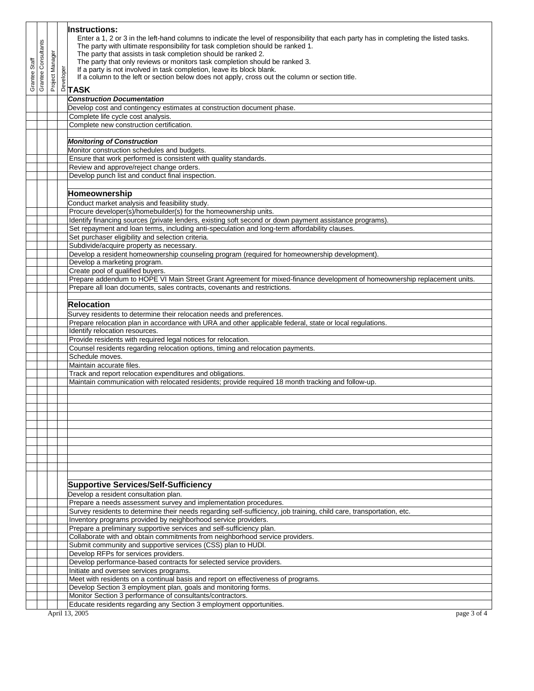|         |                |               |         | <b>Instructions:</b>                                                                                                                               |
|---------|----------------|---------------|---------|----------------------------------------------------------------------------------------------------------------------------------------------------|
|         |                |               |         | Enter a 1, 2 or 3 in the left-hand columns to indicate the level of responsibility that each party has in completing the listed tasks.             |
|         | Consultants    |               |         | The party with ultimate responsibility for task completion should be ranked 1.                                                                     |
|         |                | ō             |         | The party that assists in task completion should be ranked 2.                                                                                      |
| Staff   |                |               |         | The party that only reviews or monitors task completion should be ranked 3.                                                                        |
|         |                |               | veloper | If a party is not involved in task completion, leave its block blank.                                                                              |
| Grantee | <b>Grantee</b> | Project Manag |         | If a column to the left or section below does not apply, cross out the column or section title.                                                    |
|         |                |               |         | $^{\circ}$ TASK                                                                                                                                    |
|         |                |               |         | <b>Construction Documentation</b>                                                                                                                  |
|         |                |               |         | Develop cost and contingency estimates at construction document phase.                                                                             |
|         |                |               |         | Complete life cycle cost analysis.                                                                                                                 |
|         |                |               |         | Complete new construction certification.                                                                                                           |
|         |                |               |         |                                                                                                                                                    |
|         |                |               |         | <b>Monitoring of Construction</b>                                                                                                                  |
|         |                |               |         | Monitor construction schedules and budgets.                                                                                                        |
|         |                |               |         | Ensure that work performed is consistent with quality standards.                                                                                   |
|         |                |               |         | Review and approve/reject change orders.<br>Develop punch list and conduct final inspection.                                                       |
|         |                |               |         |                                                                                                                                                    |
|         |                |               |         |                                                                                                                                                    |
|         |                |               |         | Homeownership                                                                                                                                      |
|         |                |               |         | Conduct market analysis and feasibility study.                                                                                                     |
|         |                |               |         | Procure developer(s)/homebuilder(s) for the homeownership units.                                                                                   |
|         |                |               |         | Identify financing sources (private lenders, existing soft second or down payment assistance programs).                                            |
|         |                |               |         | Set repayment and loan terms, including anti-speculation and long-term affordability clauses.<br>Set purchaser eligibility and selection criteria. |
|         |                |               |         | Subdivide/acquire property as necessary.                                                                                                           |
|         |                |               |         | Develop a resident homeownership counseling program (required for homeownership development).                                                      |
|         |                |               |         | Develop a marketing program.                                                                                                                       |
|         |                |               |         | Create pool of qualified buyers.                                                                                                                   |
|         |                |               |         | Prepare addendum to HOPE VI Main Street Grant Agreement for mixed-finance development of homeownership replacement units.                          |
|         |                |               |         | Prepare all loan documents, sales contracts, covenants and restrictions.                                                                           |
|         |                |               |         |                                                                                                                                                    |
|         |                |               |         | <b>Relocation</b>                                                                                                                                  |
|         |                |               |         | Survey residents to determine their relocation needs and preferences.                                                                              |
|         |                |               |         | Prepare relocation plan in accordance with URA and other applicable federal, state or local regulations.                                           |
|         |                |               |         | Identify relocation resources.                                                                                                                     |
|         |                |               |         | Provide residents with required legal notices for relocation.                                                                                      |
|         |                |               |         | Counsel residents regarding relocation options, timing and relocation payments.                                                                    |
|         |                |               |         | Schedule moves.                                                                                                                                    |
|         |                |               |         | Maintain accurate files.                                                                                                                           |
|         |                |               |         | Track and report relocation expenditures and obligations.                                                                                          |
|         |                |               |         | Maintain communication with relocated residents; provide required 18 month tracking and follow-up.                                                 |
|         |                |               |         |                                                                                                                                                    |
|         |                |               |         |                                                                                                                                                    |
|         |                |               |         |                                                                                                                                                    |
|         |                |               |         |                                                                                                                                                    |
|         |                |               |         |                                                                                                                                                    |
|         |                |               |         |                                                                                                                                                    |
|         |                |               |         |                                                                                                                                                    |
|         |                |               |         |                                                                                                                                                    |
|         |                |               |         |                                                                                                                                                    |
|         |                |               |         |                                                                                                                                                    |
|         |                |               |         |                                                                                                                                                    |
|         |                |               |         | <b>Supportive Services/Self-Sufficiency</b>                                                                                                        |
|         |                |               |         | Develop a resident consultation plan.                                                                                                              |
|         |                |               |         | Prepare a needs assessment survey and implementation procedures.                                                                                   |
|         |                |               |         | Survey residents to determine their needs regarding self-sufficiency, job training, child care, transportation, etc.                               |
|         |                |               |         | Inventory programs provided by neighborhood service providers.                                                                                     |
|         |                |               |         | Prepare a preliminary supportive services and self-sufficiency plan.                                                                               |
|         |                |               |         | Collaborate with and obtain commitments from neighborhood service providers.                                                                       |
|         |                |               |         | Submit community and supportive services (CSS) plan to HUDI.                                                                                       |
|         |                |               |         | Develop RFPs for services providers.                                                                                                               |
|         |                |               |         | Develop performance-based contracts for selected service providers.                                                                                |
|         |                |               |         | Initiate and oversee services programs.<br>Meet with residents on a continual basis and report on effectiveness of programs.                       |
|         |                |               |         | Develop Section 3 employment plan, goals and monitoring forms.                                                                                     |
|         |                |               |         | Monitor Section 3 performance of consultants/contractors.                                                                                          |
|         |                |               |         | Educate residents regarding any Section 3 employment opportunities.                                                                                |
|         |                |               |         | April 13, 2005<br>page 3 of 4                                                                                                                      |
|         |                |               |         |                                                                                                                                                    |